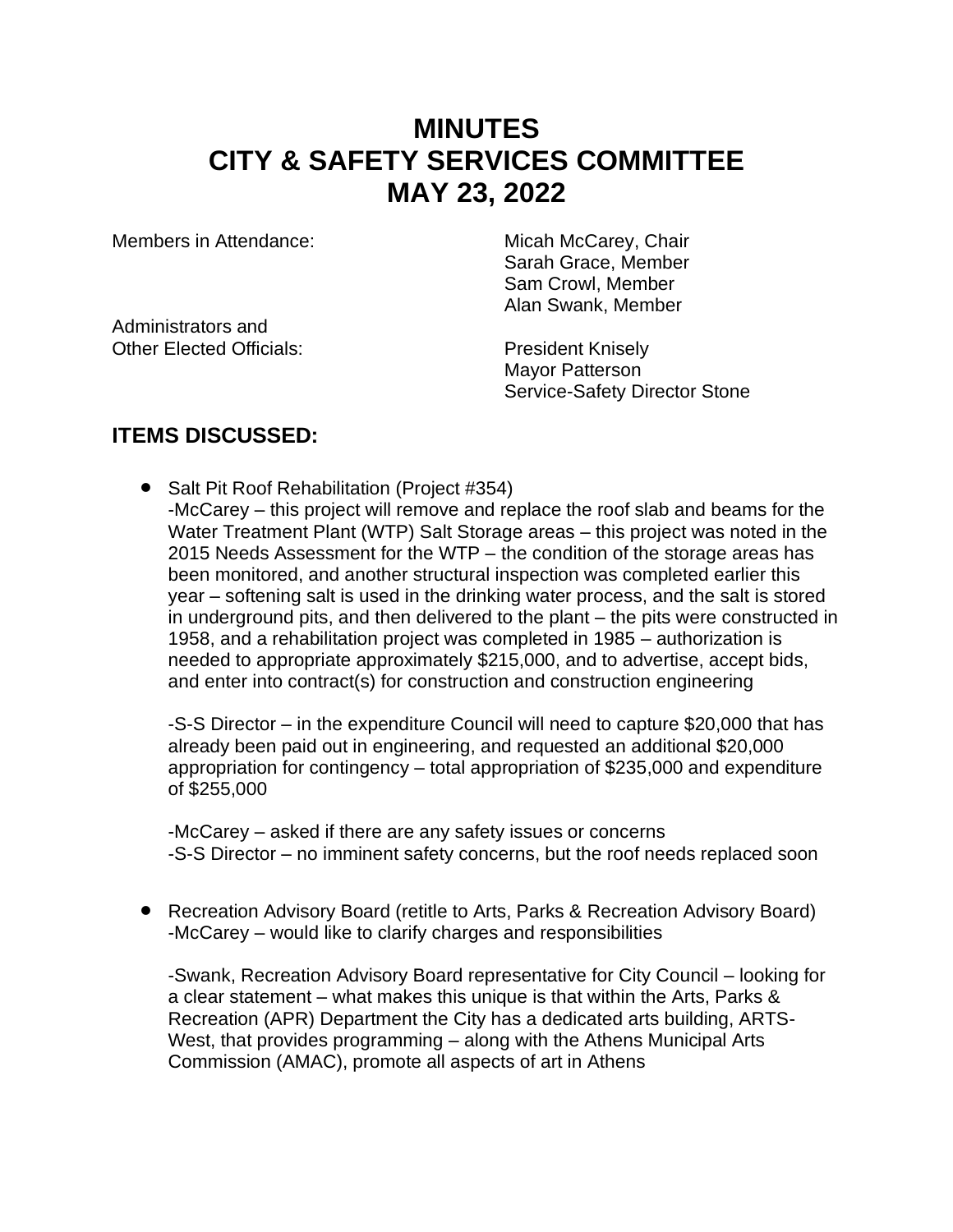## **MINUTES CITY & SAFETY SERVICES COMMITTEE MAY 23, 2022**

Members in Attendance: Micah McCarey, Chair

Administrators and Other Elected Officials: President Knisely

Sarah Grace, Member Sam Crowl, Member Alan Swank, Member

Mayor Patterson Service-Safety Director Stone

#### **ITEMS DISCUSSED:**

• Salt Pit Roof Rehabilitation (Project #354) -McCarey – this project will remove and replace the roof slab and beams for the Water Treatment Plant (WTP) Salt Storage areas – this project was noted in the 2015 Needs Assessment for the WTP – the condition of the storage areas has been monitored, and another structural inspection was completed earlier this year – softening salt is used in the drinking water process, and the salt is stored in underground pits, and then delivered to the plant – the pits were constructed in 1958, and a rehabilitation project was completed in 1985 – authorization is needed to appropriate approximately \$215,000, and to advertise, accept bids, and enter into contract(s) for construction and construction engineering

-S-S Director – in the expenditure Council will need to capture \$20,000 that has already been paid out in engineering, and requested an additional \$20,000 appropriation for contingency – total appropriation of \$235,000 and expenditure of \$255,000

-McCarey – asked if there are any safety issues or concerns -S-S Director – no imminent safety concerns, but the roof needs replaced soon

• Recreation Advisory Board (retitle to Arts, Parks & Recreation Advisory Board) -McCarey – would like to clarify charges and responsibilities

-Swank, Recreation Advisory Board representative for City Council – looking for a clear statement – what makes this unique is that within the Arts, Parks & Recreation (APR) Department the City has a dedicated arts building, ARTS-West, that provides programming – along with the Athens Municipal Arts Commission (AMAC), promote all aspects of art in Athens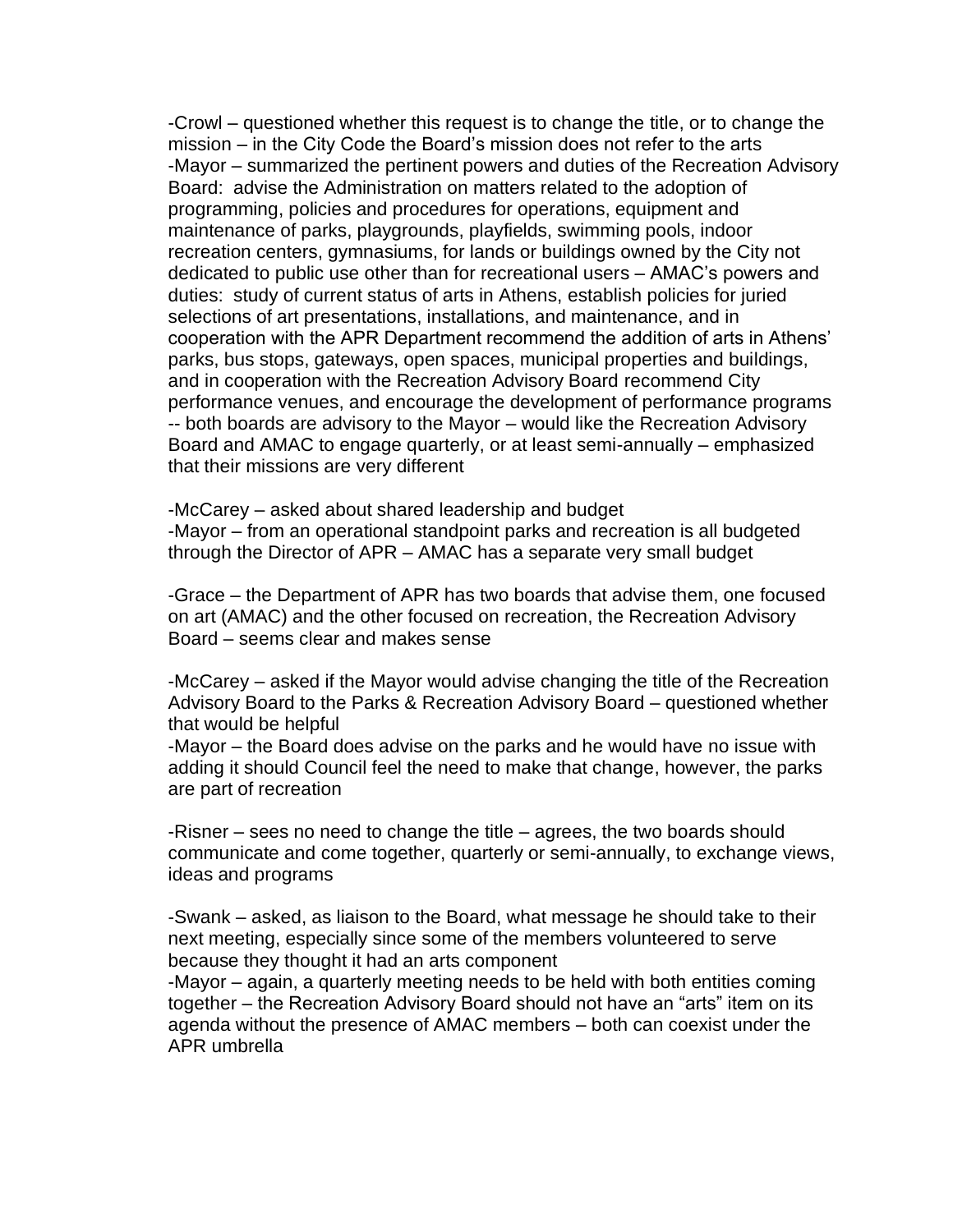-Crowl – questioned whether this request is to change the title, or to change the mission – in the City Code the Board's mission does not refer to the arts -Mayor – summarized the pertinent powers and duties of the Recreation Advisory Board: advise the Administration on matters related to the adoption of programming, policies and procedures for operations, equipment and maintenance of parks, playgrounds, playfields, swimming pools, indoor recreation centers, gymnasiums, for lands or buildings owned by the City not dedicated to public use other than for recreational users – AMAC's powers and duties: study of current status of arts in Athens, establish policies for juried selections of art presentations, installations, and maintenance, and in cooperation with the APR Department recommend the addition of arts in Athens' parks, bus stops, gateways, open spaces, municipal properties and buildings, and in cooperation with the Recreation Advisory Board recommend City performance venues, and encourage the development of performance programs -- both boards are advisory to the Mayor – would like the Recreation Advisory Board and AMAC to engage quarterly, or at least semi-annually – emphasized that their missions are very different

-McCarey – asked about shared leadership and budget -Mayor – from an operational standpoint parks and recreation is all budgeted through the Director of APR – AMAC has a separate very small budget

-Grace – the Department of APR has two boards that advise them, one focused on art (AMAC) and the other focused on recreation, the Recreation Advisory Board – seems clear and makes sense

-McCarey – asked if the Mayor would advise changing the title of the Recreation Advisory Board to the Parks & Recreation Advisory Board – questioned whether that would be helpful

-Mayor – the Board does advise on the parks and he would have no issue with adding it should Council feel the need to make that change, however, the parks are part of recreation

-Risner – sees no need to change the title – agrees, the two boards should communicate and come together, quarterly or semi-annually, to exchange views, ideas and programs

-Swank – asked, as liaison to the Board, what message he should take to their next meeting, especially since some of the members volunteered to serve because they thought it had an arts component

-Mayor – again, a quarterly meeting needs to be held with both entities coming together – the Recreation Advisory Board should not have an "arts" item on its agenda without the presence of AMAC members – both can coexist under the APR umbrella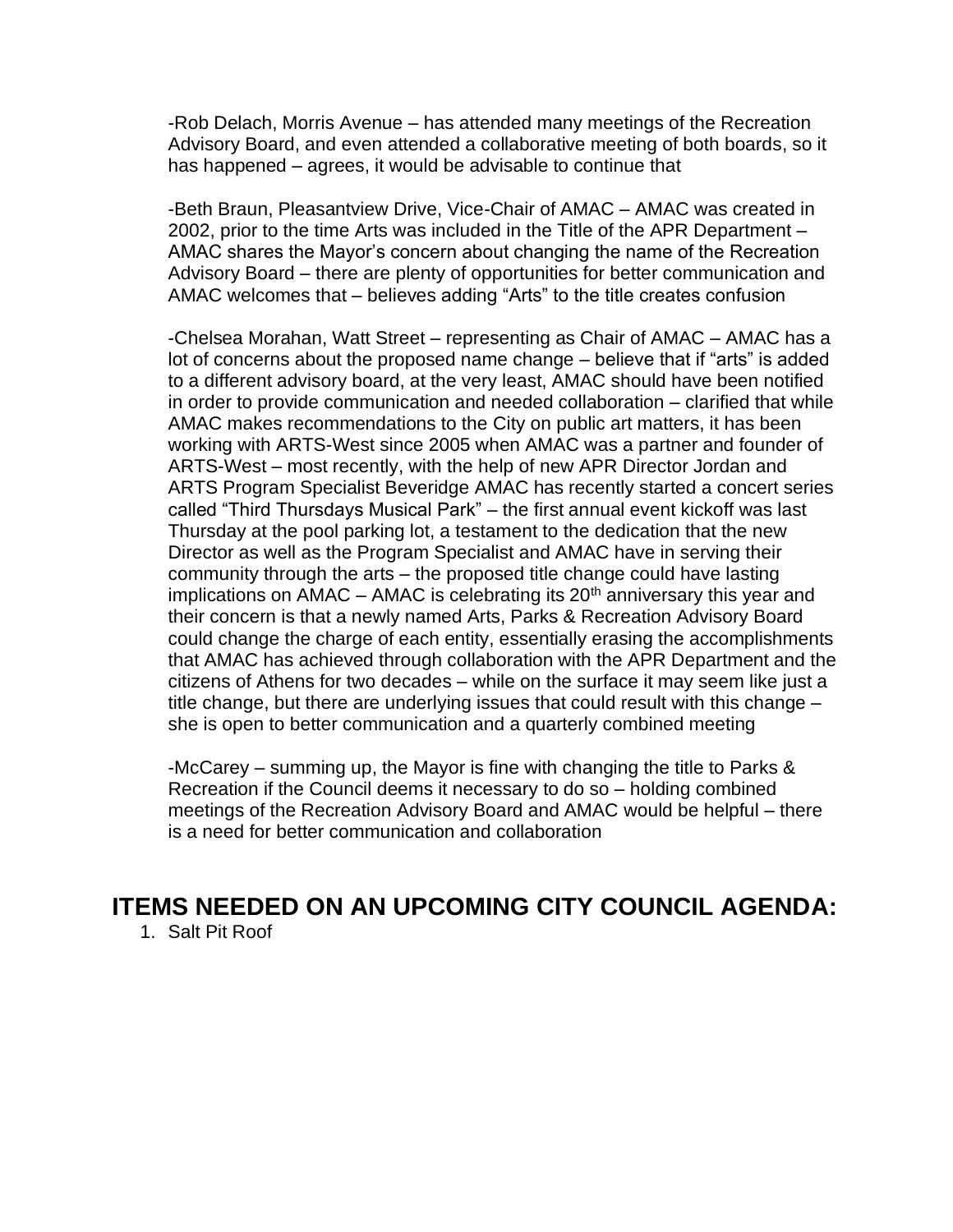-Rob Delach, Morris Avenue – has attended many meetings of the Recreation Advisory Board, and even attended a collaborative meeting of both boards, so it has happened – agrees, it would be advisable to continue that

-Beth Braun, Pleasantview Drive, Vice-Chair of AMAC – AMAC was created in 2002, prior to the time Arts was included in the Title of the APR Department – AMAC shares the Mayor's concern about changing the name of the Recreation Advisory Board – there are plenty of opportunities for better communication and AMAC welcomes that – believes adding "Arts" to the title creates confusion

-Chelsea Morahan, Watt Street – representing as Chair of AMAC – AMAC has a lot of concerns about the proposed name change – believe that if "arts" is added to a different advisory board, at the very least, AMAC should have been notified in order to provide communication and needed collaboration – clarified that while AMAC makes recommendations to the City on public art matters, it has been working with ARTS-West since 2005 when AMAC was a partner and founder of ARTS-West – most recently, with the help of new APR Director Jordan and ARTS Program Specialist Beveridge AMAC has recently started a concert series called "Third Thursdays Musical Park" – the first annual event kickoff was last Thursday at the pool parking lot, a testament to the dedication that the new Director as well as the Program Specialist and AMAC have in serving their community through the arts – the proposed title change could have lasting implications on  $\overline{AMAC}$  – AMAC is celebrating its 20<sup>th</sup> anniversary this year and their concern is that a newly named Arts, Parks & Recreation Advisory Board could change the charge of each entity, essentially erasing the accomplishments that AMAC has achieved through collaboration with the APR Department and the citizens of Athens for two decades – while on the surface it may seem like just a title change, but there are underlying issues that could result with this change – she is open to better communication and a quarterly combined meeting

-McCarey – summing up, the Mayor is fine with changing the title to Parks & Recreation if the Council deems it necessary to do so – holding combined meetings of the Recreation Advisory Board and AMAC would be helpful – there is a need for better communication and collaboration

### **ITEMS NEEDED ON AN UPCOMING CITY COUNCIL AGENDA:**

1. Salt Pit Roof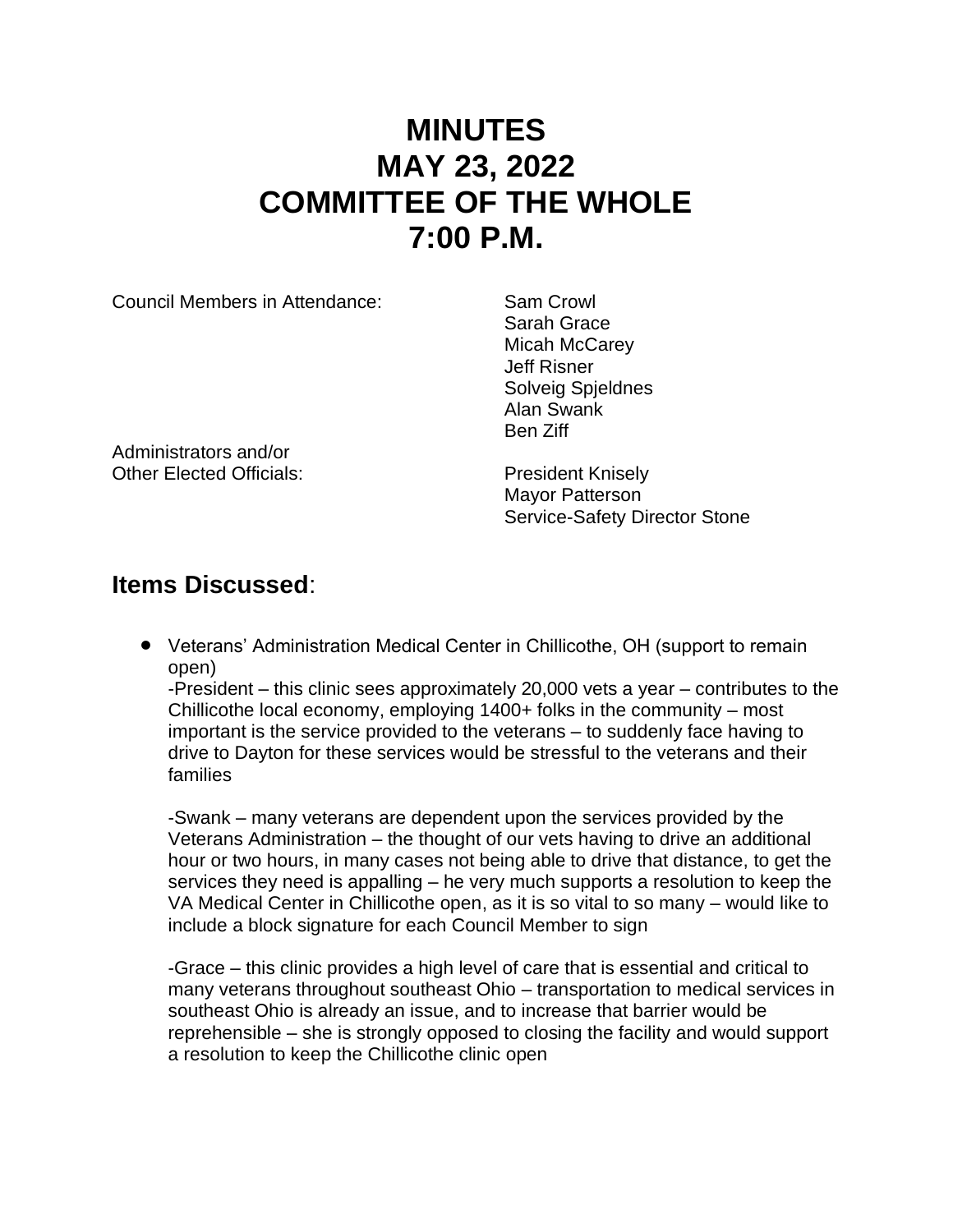# **MINUTES MAY 23, 2022 COMMITTEE OF THE WHOLE 7:00 P.M.**

Council Members in Attendance: Sam Crowl

Sarah Grace Micah McCarev Jeff Risner Solveig Spjeldnes Alan Swank Ben Ziff

Administrators and/or Other Elected Officials: President Knisely

Mayor Patterson Service-Safety Director Stone

### **Items Discussed**:

• Veterans' Administration Medical Center in Chillicothe, OH (support to remain open)

-President – this clinic sees approximately 20,000 vets a year – contributes to the Chillicothe local economy, employing 1400+ folks in the community – most important is the service provided to the veterans – to suddenly face having to drive to Dayton for these services would be stressful to the veterans and their families

-Swank – many veterans are dependent upon the services provided by the Veterans Administration – the thought of our vets having to drive an additional hour or two hours, in many cases not being able to drive that distance, to get the services they need is appalling – he very much supports a resolution to keep the VA Medical Center in Chillicothe open, as it is so vital to so many – would like to include a block signature for each Council Member to sign

-Grace – this clinic provides a high level of care that is essential and critical to many veterans throughout southeast Ohio – transportation to medical services in southeast Ohio is already an issue, and to increase that barrier would be reprehensible – she is strongly opposed to closing the facility and would support a resolution to keep the Chillicothe clinic open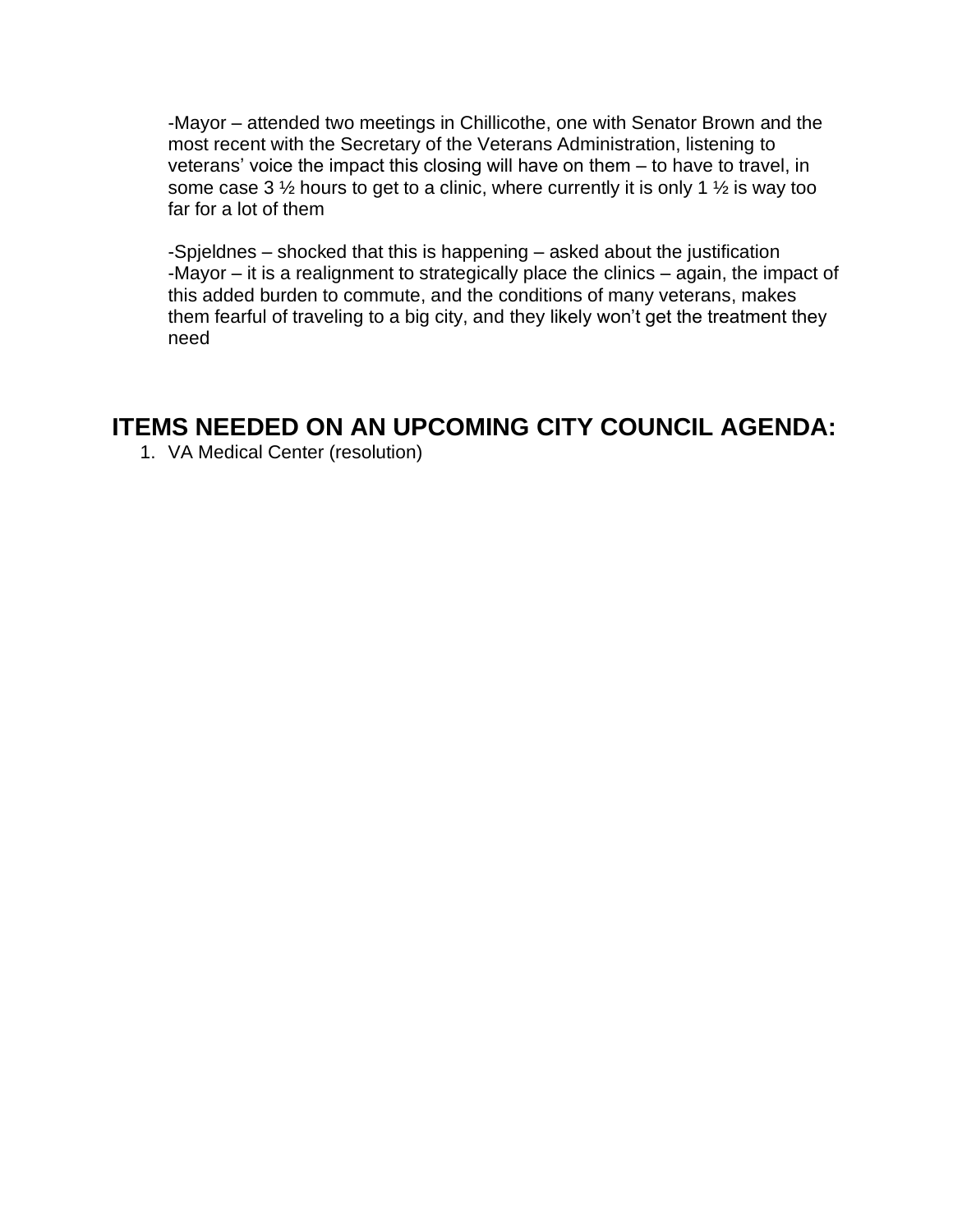-Mayor – attended two meetings in Chillicothe, one with Senator Brown and the most recent with the Secretary of the Veterans Administration, listening to veterans' voice the impact this closing will have on them – to have to travel, in some case 3  $\frac{1}{2}$  hours to get to a clinic, where currently it is only 1  $\frac{1}{2}$  is way too far for a lot of them

-Spjeldnes – shocked that this is happening – asked about the justification -Mayor – it is a realignment to strategically place the clinics – again, the impact of this added burden to commute, and the conditions of many veterans, makes them fearful of traveling to a big city, and they likely won't get the treatment they need

### **ITEMS NEEDED ON AN UPCOMING CITY COUNCIL AGENDA:**

1. VA Medical Center (resolution)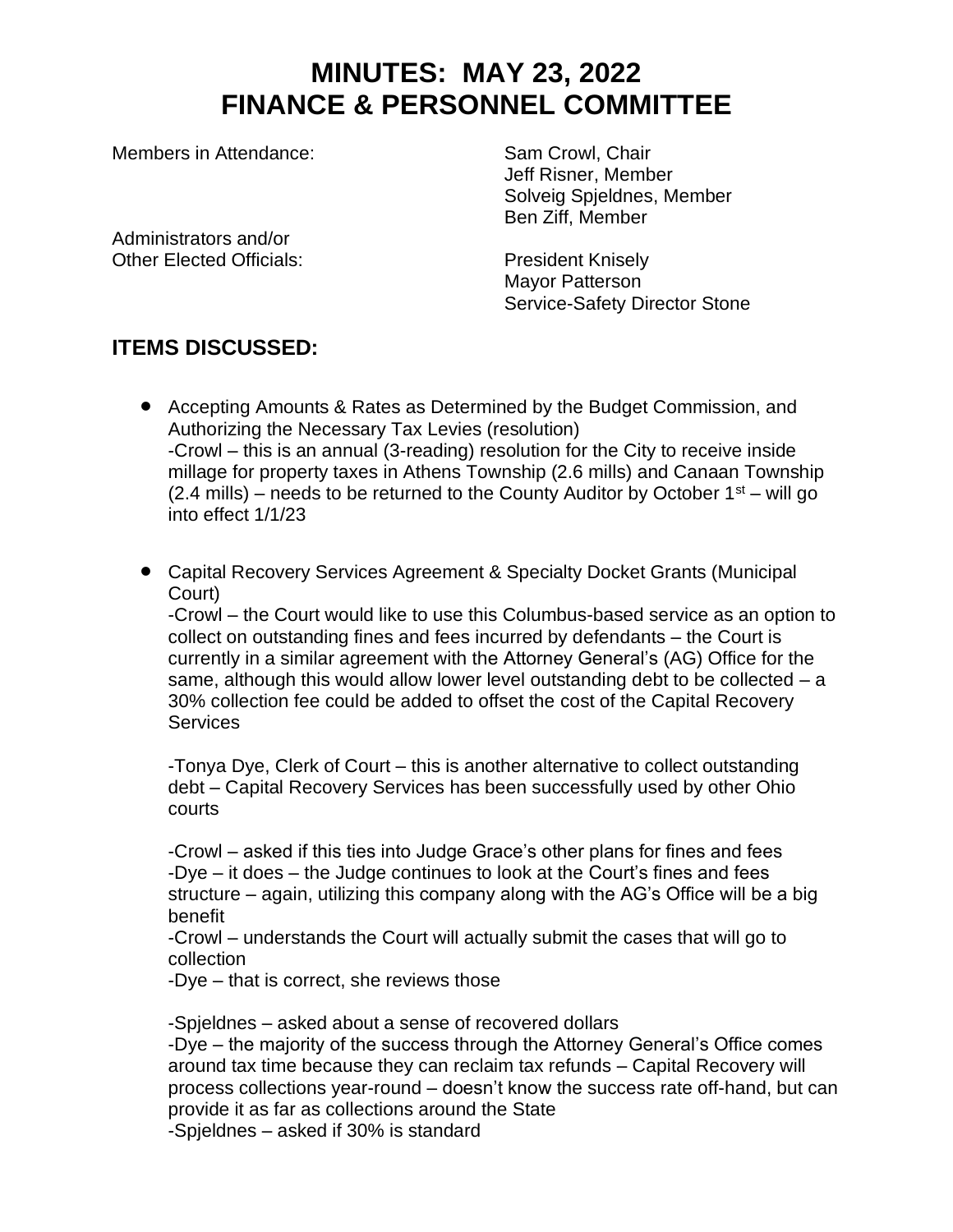## **MINUTES: MAY 23, 2022 FINANCE & PERSONNEL COMMITTEE**

Members in Attendance: Sam Crowl, Chair

Jeff Risner, Member Solveig Spjeldnes, Member Ben Ziff, Member

Administrators and/or Other Elected Officials: President Knisely

Mayor Patterson Service-Safety Director Stone

### **ITEMS DISCUSSED:**

- Accepting Amounts & Rates as Determined by the Budget Commission, and Authorizing the Necessary Tax Levies (resolution) -Crowl – this is an annual (3-reading) resolution for the City to receive inside millage for property taxes in Athens Township (2.6 mills) and Canaan Township (2.4 mills) – needs to be returned to the County Auditor by October  $1<sup>st</sup>$  – will go into effect 1/1/23
- Capital Recovery Services Agreement & Specialty Docket Grants (Municipal Court)

-Crowl – the Court would like to use this Columbus-based service as an option to collect on outstanding fines and fees incurred by defendants – the Court is currently in a similar agreement with the Attorney General's (AG) Office for the same, although this would allow lower level outstanding debt to be collected  $-$  a 30% collection fee could be added to offset the cost of the Capital Recovery **Services** 

-Tonya Dye, Clerk of Court – this is another alternative to collect outstanding debt – Capital Recovery Services has been successfully used by other Ohio courts

-Crowl – asked if this ties into Judge Grace's other plans for fines and fees -Dye – it does – the Judge continues to look at the Court's fines and fees structure – again, utilizing this company along with the AG's Office will be a big benefit

-Crowl – understands the Court will actually submit the cases that will go to collection

-Dye – that is correct, she reviews those

-Spjeldnes – asked about a sense of recovered dollars

-Dye – the majority of the success through the Attorney General's Office comes around tax time because they can reclaim tax refunds – Capital Recovery will process collections year-round – doesn't know the success rate off-hand, but can provide it as far as collections around the State

-Spjeldnes – asked if 30% is standard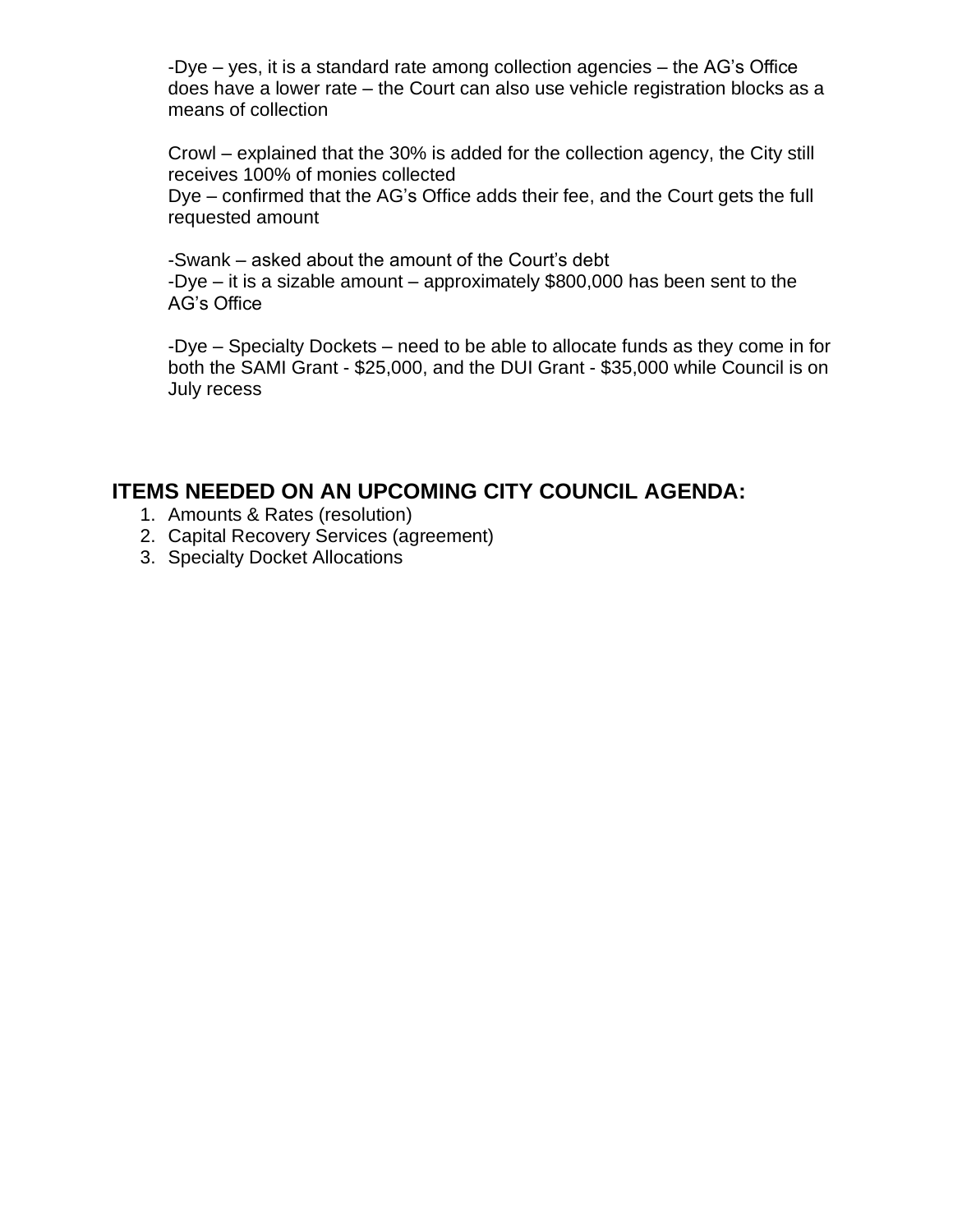-Dye – yes, it is a standard rate among collection agencies – the AG's Office does have a lower rate – the Court can also use vehicle registration blocks as a means of collection

Crowl – explained that the 30% is added for the collection agency, the City still receives 100% of monies collected

Dye – confirmed that the AG's Office adds their fee, and the Court gets the full requested amount

-Swank – asked about the amount of the Court's debt -Dye – it is a sizable amount – approximately \$800,000 has been sent to the AG's Office

-Dye – Specialty Dockets – need to be able to allocate funds as they come in for both the SAMI Grant - \$25,000, and the DUI Grant - \$35,000 while Council is on July recess

#### **ITEMS NEEDED ON AN UPCOMING CITY COUNCIL AGENDA:**

- 1. Amounts & Rates (resolution)
- 2. Capital Recovery Services (agreement)
- 3. Specialty Docket Allocations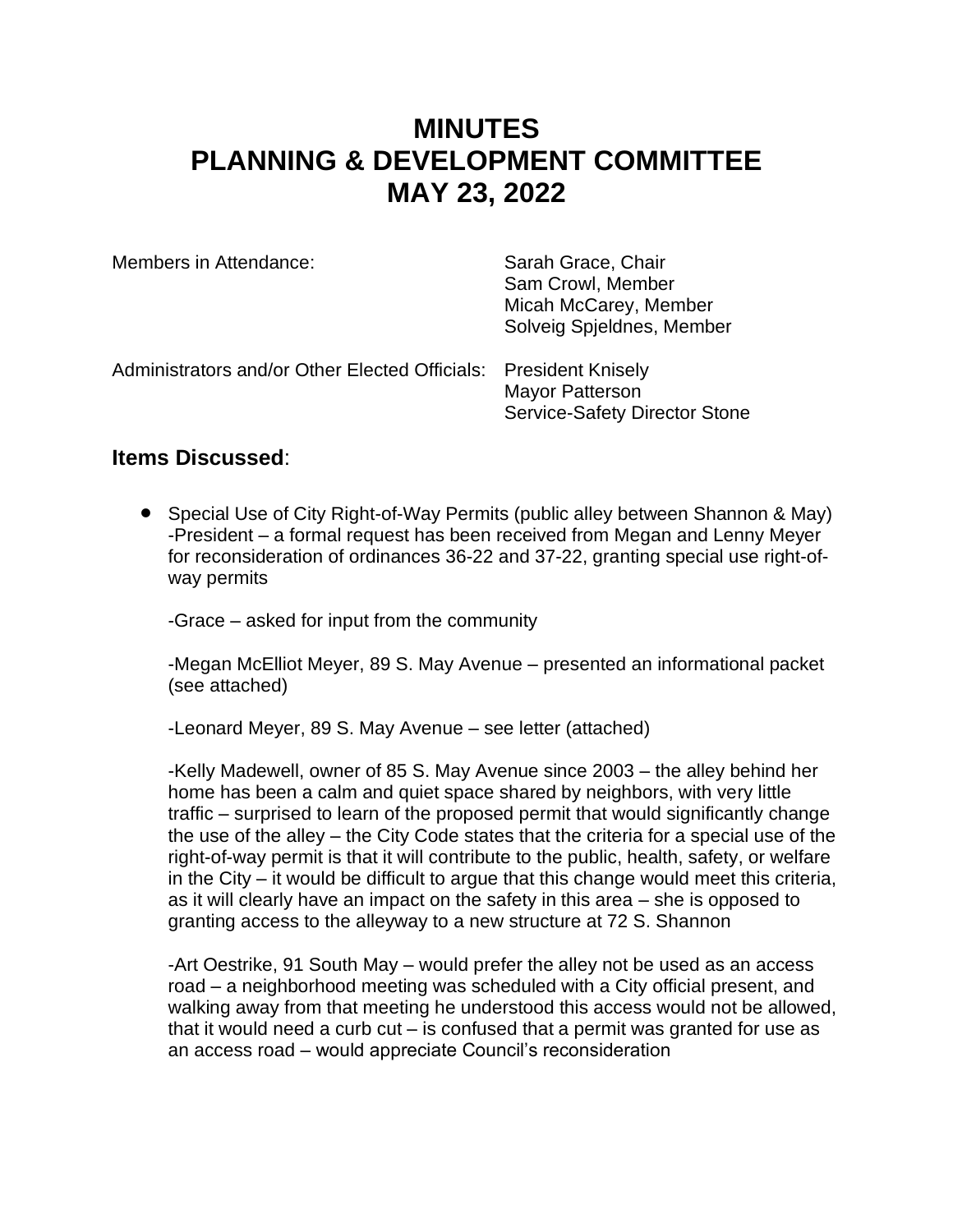## **MINUTES PLANNING & DEVELOPMENT COMMITTEE MAY 23, 2022**

| Members in Attendance:                                           | Sarah Grace, Chair<br>Sam Crowl, Member<br>Micah McCarey, Member<br>Solveig Spjeldnes, Member |
|------------------------------------------------------------------|-----------------------------------------------------------------------------------------------|
| Administrators and/or Other Elected Officials: President Knisely | <b>Mayor Patterson</b><br><b>Service-Safety Director Stone</b>                                |

#### **Items Discussed**:

• Special Use of City Right-of-Way Permits (public alley between Shannon & May) -President – a formal request has been received from Megan and Lenny Meyer for reconsideration of ordinances 36-22 and 37-22, granting special use right-ofway permits

-Grace – asked for input from the community

-Megan McElliot Meyer, 89 S. May Avenue – presented an informational packet (see attached)

-Leonard Meyer, 89 S. May Avenue – see letter (attached)

-Kelly Madewell, owner of 85 S. May Avenue since 2003 – the alley behind her home has been a calm and quiet space shared by neighbors, with very little traffic – surprised to learn of the proposed permit that would significantly change the use of the alley – the City Code states that the criteria for a special use of the right-of-way permit is that it will contribute to the public, health, safety, or welfare in the City – it would be difficult to argue that this change would meet this criteria, as it will clearly have an impact on the safety in this area – she is opposed to granting access to the alleyway to a new structure at 72 S. Shannon

-Art Oestrike, 91 South May – would prefer the alley not be used as an access road – a neighborhood meeting was scheduled with a City official present, and walking away from that meeting he understood this access would not be allowed, that it would need a curb cut – is confused that a permit was granted for use as an access road – would appreciate Council's reconsideration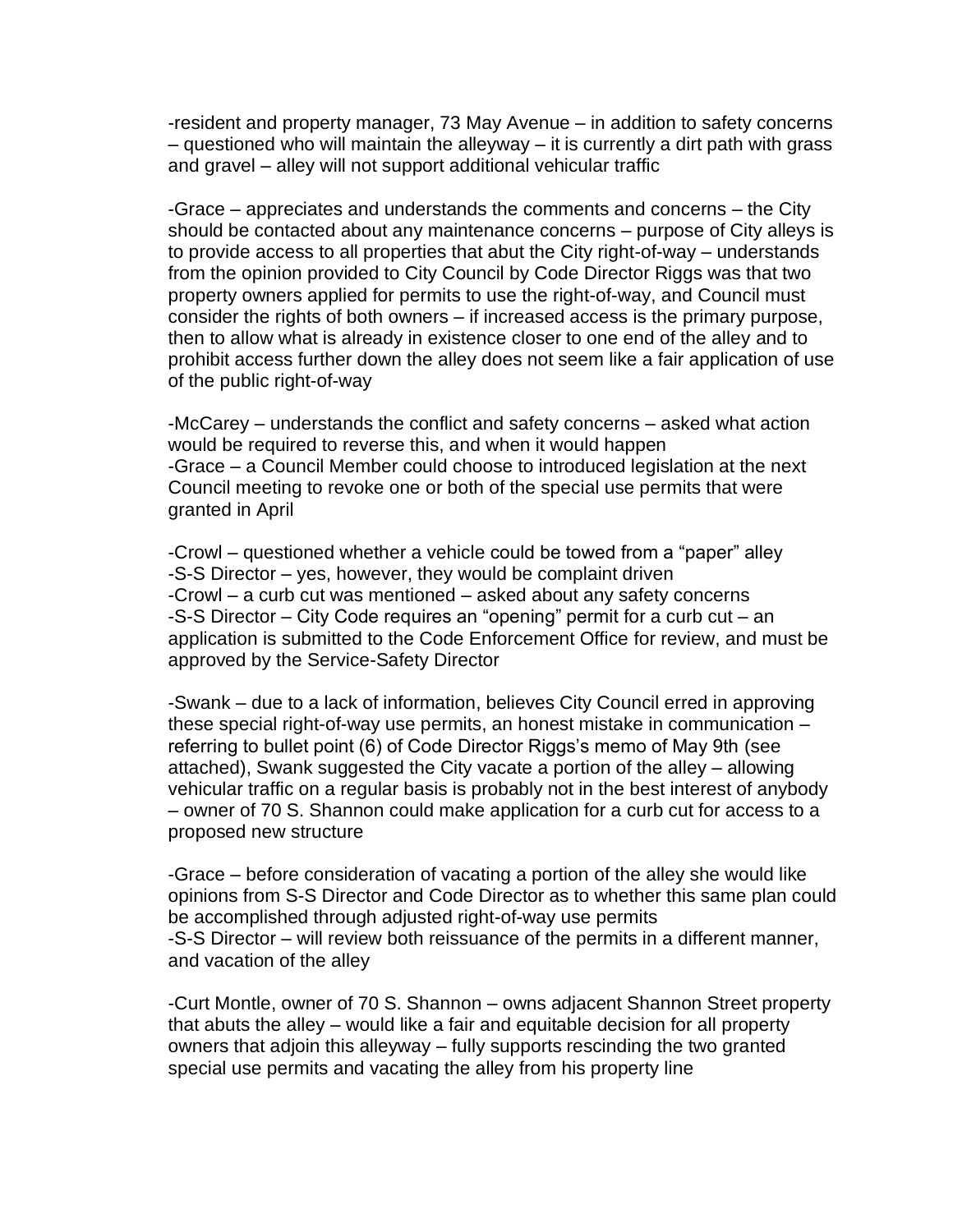-resident and property manager, 73 May Avenue – in addition to safety concerns – questioned who will maintain the alleyway – it is currently a dirt path with grass and gravel – alley will not support additional vehicular traffic

-Grace – appreciates and understands the comments and concerns – the City should be contacted about any maintenance concerns – purpose of City alleys is to provide access to all properties that abut the City right-of-way – understands from the opinion provided to City Council by Code Director Riggs was that two property owners applied for permits to use the right-of-way, and Council must consider the rights of both owners – if increased access is the primary purpose, then to allow what is already in existence closer to one end of the alley and to prohibit access further down the alley does not seem like a fair application of use of the public right-of-way

-McCarey – understands the conflict and safety concerns – asked what action would be required to reverse this, and when it would happen -Grace – a Council Member could choose to introduced legislation at the next Council meeting to revoke one or both of the special use permits that were granted in April

-Crowl – questioned whether a vehicle could be towed from a "paper" alley -S-S Director – yes, however, they would be complaint driven -Crowl – a curb cut was mentioned – asked about any safety concerns -S-S Director – City Code requires an "opening" permit for a curb cut – an application is submitted to the Code Enforcement Office for review, and must be approved by the Service-Safety Director

-Swank – due to a lack of information, believes City Council erred in approving these special right-of-way use permits, an honest mistake in communication – referring to bullet point (6) of Code Director Riggs's memo of May 9th (see attached), Swank suggested the City vacate a portion of the alley – allowing vehicular traffic on a regular basis is probably not in the best interest of anybody – owner of 70 S. Shannon could make application for a curb cut for access to a proposed new structure

-Grace – before consideration of vacating a portion of the alley she would like opinions from S-S Director and Code Director as to whether this same plan could be accomplished through adjusted right-of-way use permits -S-S Director – will review both reissuance of the permits in a different manner, and vacation of the alley

-Curt Montle, owner of 70 S. Shannon – owns adjacent Shannon Street property that abuts the alley – would like a fair and equitable decision for all property owners that adjoin this alleyway – fully supports rescinding the two granted special use permits and vacating the alley from his property line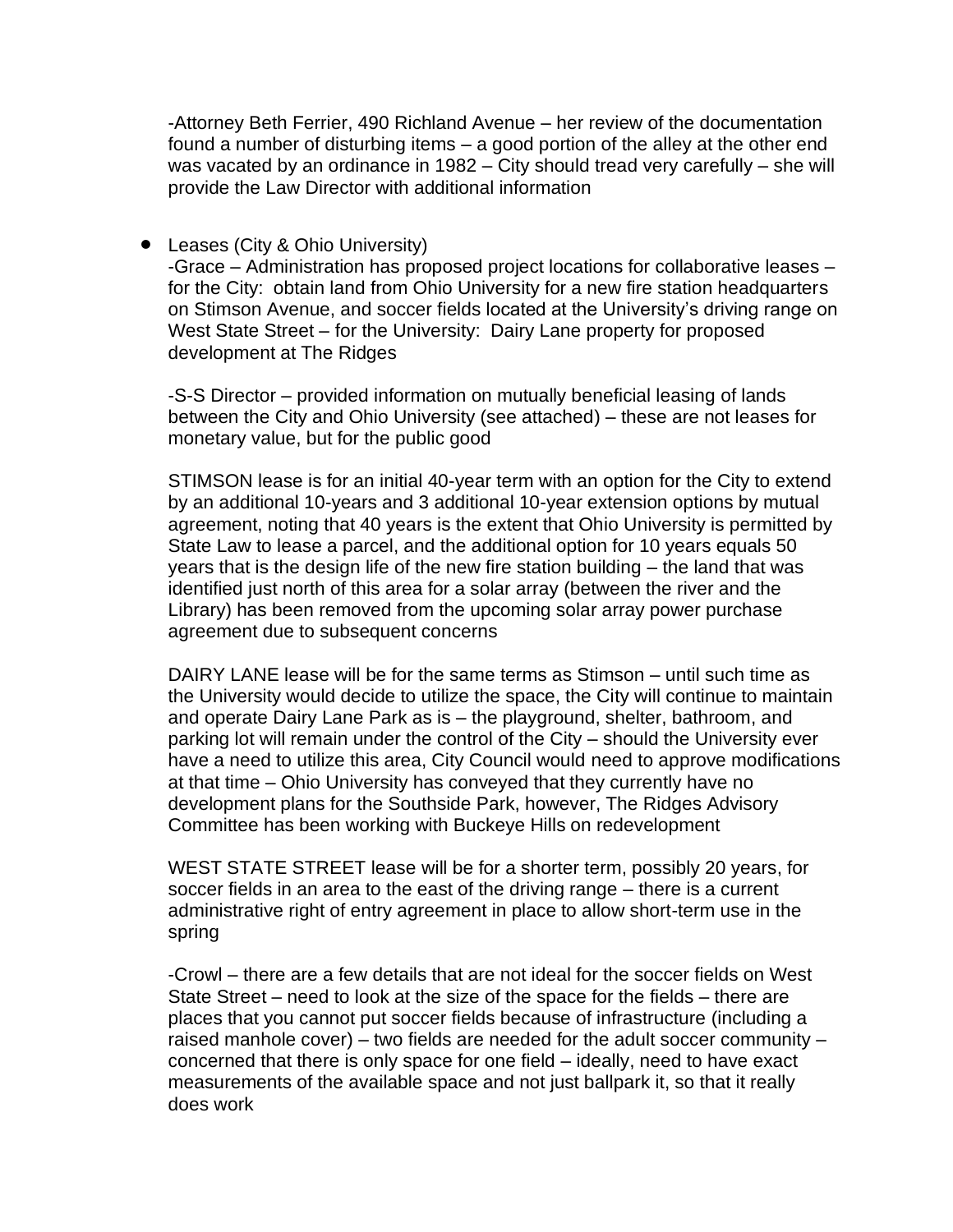-Attorney Beth Ferrier, 490 Richland Avenue – her review of the documentation found a number of disturbing items – a good portion of the alley at the other end was vacated by an ordinance in 1982 – City should tread very carefully – she will provide the Law Director with additional information

#### • Leases (City & Ohio University)

-Grace – Administration has proposed project locations for collaborative leases – for the City: obtain land from Ohio University for a new fire station headquarters on Stimson Avenue, and soccer fields located at the University's driving range on West State Street – for the University: Dairy Lane property for proposed development at The Ridges

-S-S Director – provided information on mutually beneficial leasing of lands between the City and Ohio University (see attached) – these are not leases for monetary value, but for the public good

STIMSON lease is for an initial 40-year term with an option for the City to extend by an additional 10-years and 3 additional 10-year extension options by mutual agreement, noting that 40 years is the extent that Ohio University is permitted by State Law to lease a parcel, and the additional option for 10 years equals 50 years that is the design life of the new fire station building – the land that was identified just north of this area for a solar array (between the river and the Library) has been removed from the upcoming solar array power purchase agreement due to subsequent concerns

DAIRY LANE lease will be for the same terms as Stimson – until such time as the University would decide to utilize the space, the City will continue to maintain and operate Dairy Lane Park as is – the playground, shelter, bathroom, and parking lot will remain under the control of the City – should the University ever have a need to utilize this area, City Council would need to approve modifications at that time – Ohio University has conveyed that they currently have no development plans for the Southside Park, however, The Ridges Advisory Committee has been working with Buckeye Hills on redevelopment

WEST STATE STREET lease will be for a shorter term, possibly 20 years, for soccer fields in an area to the east of the driving range – there is a current administrative right of entry agreement in place to allow short-term use in the spring

-Crowl – there are a few details that are not ideal for the soccer fields on West State Street – need to look at the size of the space for the fields – there are places that you cannot put soccer fields because of infrastructure (including a raised manhole cover) – two fields are needed for the adult soccer community – concerned that there is only space for one field – ideally, need to have exact measurements of the available space and not just ballpark it, so that it really does work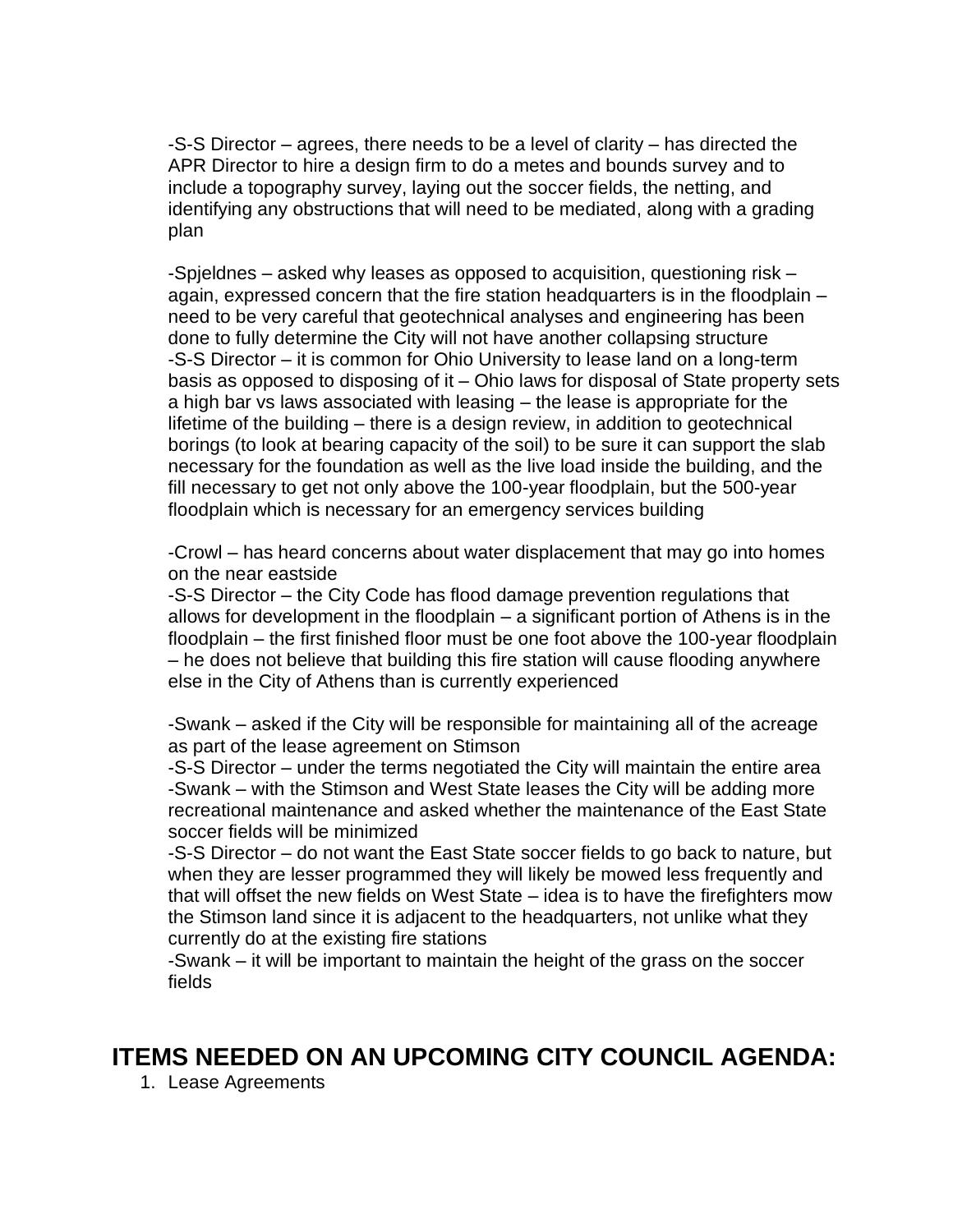-S-S Director – agrees, there needs to be a level of clarity – has directed the APR Director to hire a design firm to do a metes and bounds survey and to include a topography survey, laying out the soccer fields, the netting, and identifying any obstructions that will need to be mediated, along with a grading plan

-Spjeldnes – asked why leases as opposed to acquisition, questioning risk – again, expressed concern that the fire station headquarters is in the floodplain – need to be very careful that geotechnical analyses and engineering has been done to fully determine the City will not have another collapsing structure -S-S Director – it is common for Ohio University to lease land on a long-term basis as opposed to disposing of it – Ohio laws for disposal of State property sets a high bar vs laws associated with leasing – the lease is appropriate for the lifetime of the building – there is a design review, in addition to geotechnical borings (to look at bearing capacity of the soil) to be sure it can support the slab necessary for the foundation as well as the live load inside the building, and the fill necessary to get not only above the 100-year floodplain, but the 500-year floodplain which is necessary for an emergency services building

-Crowl – has heard concerns about water displacement that may go into homes on the near eastside

-S-S Director – the City Code has flood damage prevention regulations that allows for development in the floodplain – a significant portion of Athens is in the floodplain – the first finished floor must be one foot above the 100-year floodplain – he does not believe that building this fire station will cause flooding anywhere else in the City of Athens than is currently experienced

-Swank – asked if the City will be responsible for maintaining all of the acreage as part of the lease agreement on Stimson

-S-S Director – under the terms negotiated the City will maintain the entire area -Swank – with the Stimson and West State leases the City will be adding more recreational maintenance and asked whether the maintenance of the East State soccer fields will be minimized

-S-S Director – do not want the East State soccer fields to go back to nature, but when they are lesser programmed they will likely be mowed less frequently and that will offset the new fields on West State – idea is to have the firefighters mow the Stimson land since it is adjacent to the headquarters, not unlike what they currently do at the existing fire stations

-Swank – it will be important to maintain the height of the grass on the soccer fields

### **ITEMS NEEDED ON AN UPCOMING CITY COUNCIL AGENDA:**

1. Lease Agreements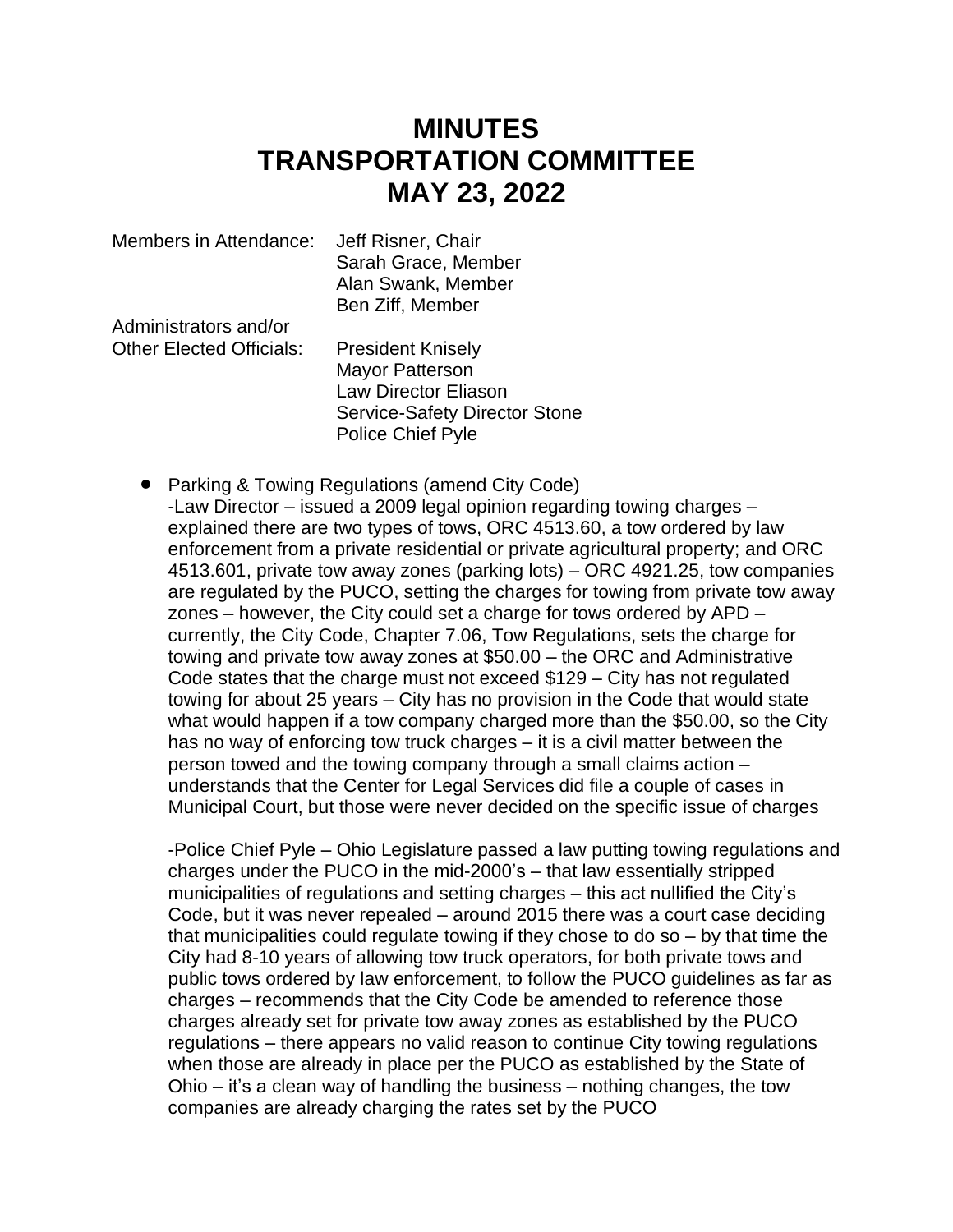## **MINUTES TRANSPORTATION COMMITTEE MAY 23, 2022**

| Members in Attendance:          | Jeff Risner, Chair<br>Sarah Grace, Member<br>Alan Swank, Member |
|---------------------------------|-----------------------------------------------------------------|
|                                 | Ben Ziff, Member                                                |
| Administrators and/or           |                                                                 |
| <b>Other Elected Officials:</b> | <b>President Knisely</b>                                        |
|                                 | <b>Mayor Patterson</b>                                          |
|                                 | <b>Law Director Eliason</b>                                     |
|                                 | <b>Service-Safety Director Stone</b>                            |

Police Chief Pyle

• Parking & Towing Regulations (amend City Code) -Law Director – issued a 2009 legal opinion regarding towing charges – explained there are two types of tows, ORC 4513.60, a tow ordered by law enforcement from a private residential or private agricultural property; and ORC 4513.601, private tow away zones (parking lots) – ORC 4921.25, tow companies are regulated by the PUCO, setting the charges for towing from private tow away zones – however, the City could set a charge for tows ordered by APD – currently, the City Code, Chapter 7.06, Tow Regulations, sets the charge for towing and private tow away zones at \$50.00 – the ORC and Administrative Code states that the charge must not exceed \$129 – City has not regulated towing for about 25 years – City has no provision in the Code that would state what would happen if a tow company charged more than the \$50.00, so the City has no way of enforcing tow truck charges – it is a civil matter between the person towed and the towing company through a small claims action – understands that the Center for Legal Services did file a couple of cases in Municipal Court, but those were never decided on the specific issue of charges

-Police Chief Pyle – Ohio Legislature passed a law putting towing regulations and charges under the PUCO in the mid-2000's – that law essentially stripped municipalities of regulations and setting charges – this act nullified the City's Code, but it was never repealed – around 2015 there was a court case deciding that municipalities could regulate towing if they chose to do so – by that time the City had 8-10 years of allowing tow truck operators, for both private tows and public tows ordered by law enforcement, to follow the PUCO guidelines as far as charges – recommends that the City Code be amended to reference those charges already set for private tow away zones as established by the PUCO regulations – there appears no valid reason to continue City towing regulations when those are already in place per the PUCO as established by the State of Ohio – it's a clean way of handling the business – nothing changes, the tow companies are already charging the rates set by the PUCO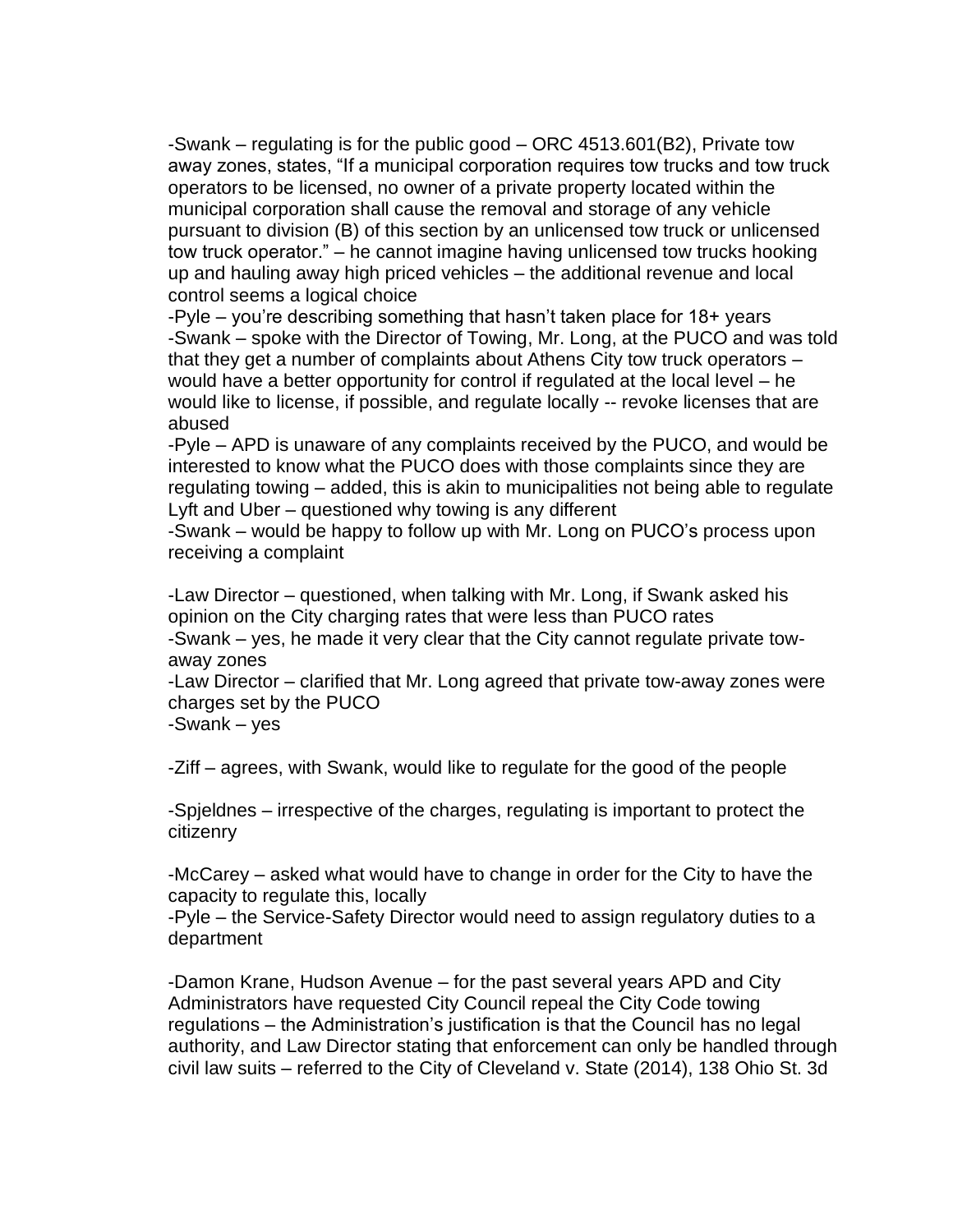-Swank – regulating is for the public good – ORC 4513.601(B2), Private tow away zones, states, "If a municipal corporation requires tow trucks and tow truck operators to be licensed, no owner of a private property located within the municipal corporation shall cause the removal and storage of any vehicle pursuant to division (B) of this section by an unlicensed tow truck or unlicensed tow truck operator." – he cannot imagine having unlicensed tow trucks hooking up and hauling away high priced vehicles – the additional revenue and local control seems a logical choice

-Pyle – you're describing something that hasn't taken place for 18+ years -Swank – spoke with the Director of Towing, Mr. Long, at the PUCO and was told that they get a number of complaints about Athens City tow truck operators – would have a better opportunity for control if regulated at the local level – he would like to license, if possible, and regulate locally -- revoke licenses that are abused

-Pyle – APD is unaware of any complaints received by the PUCO, and would be interested to know what the PUCO does with those complaints since they are regulating towing – added, this is akin to municipalities not being able to regulate Lyft and Uber – questioned why towing is any different

-Swank – would be happy to follow up with Mr. Long on PUCO's process upon receiving a complaint

-Law Director – questioned, when talking with Mr. Long, if Swank asked his opinion on the City charging rates that were less than PUCO rates -Swank – yes, he made it very clear that the City cannot regulate private towaway zones

-Law Director – clarified that Mr. Long agreed that private tow-away zones were charges set by the PUCO

-Swank – yes

-Ziff – agrees, with Swank, would like to regulate for the good of the people

-Spjeldnes – irrespective of the charges, regulating is important to protect the citizenry

-McCarey – asked what would have to change in order for the City to have the capacity to regulate this, locally

-Pyle – the Service-Safety Director would need to assign regulatory duties to a department

-Damon Krane, Hudson Avenue – for the past several years APD and City Administrators have requested City Council repeal the City Code towing regulations – the Administration's justification is that the Council has no legal authority, and Law Director stating that enforcement can only be handled through civil law suits – referred to the City of Cleveland v. State (2014), 138 Ohio St. 3d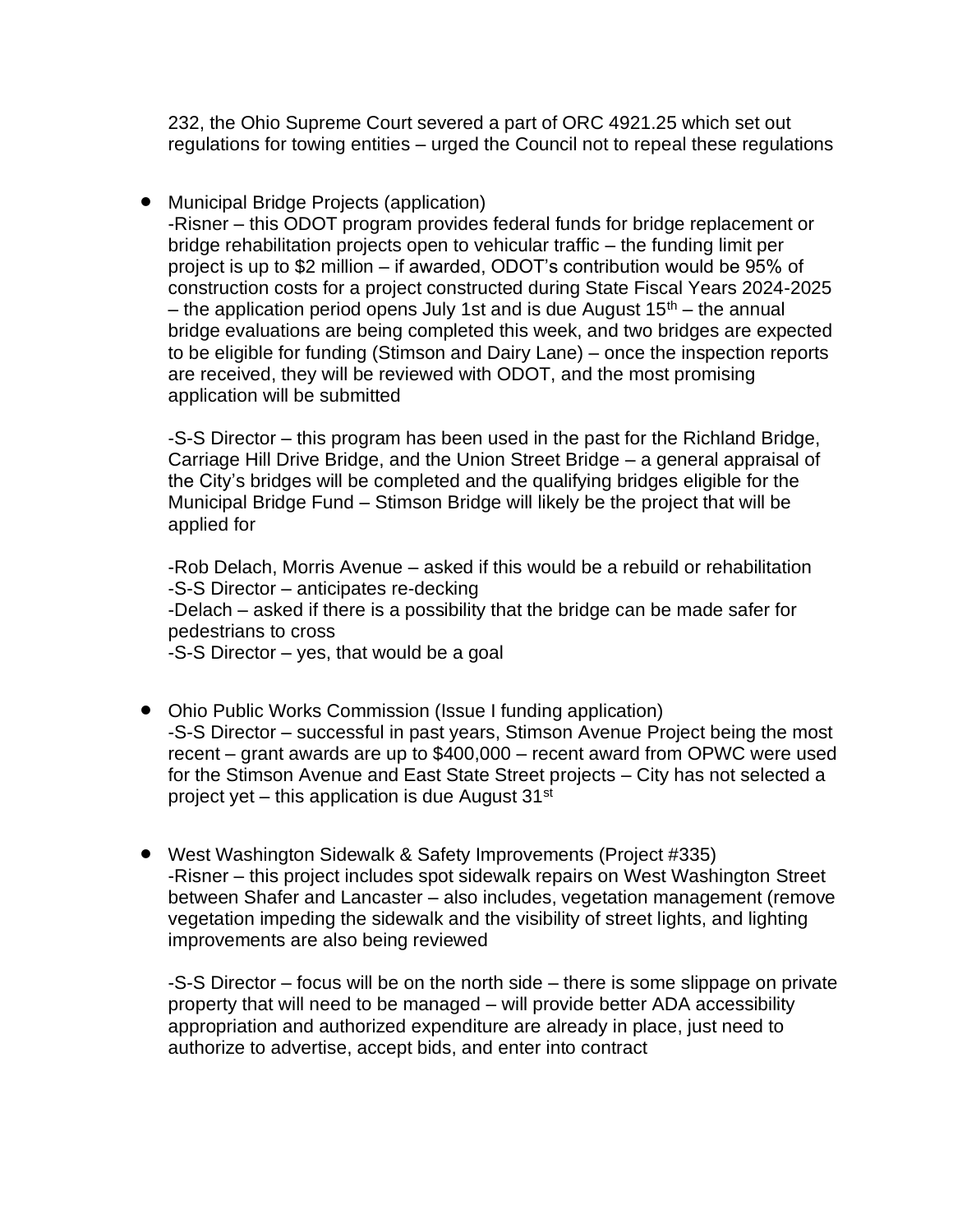232, the Ohio Supreme Court severed a part of ORC 4921.25 which set out regulations for towing entities – urged the Council not to repeal these regulations

• Municipal Bridge Projects (application)

-Risner – this ODOT program provides federal funds for bridge replacement or bridge rehabilitation projects open to vehicular traffic – the funding limit per project is up to \$2 million – if awarded, ODOT's contribution would be 95% of construction costs for a project constructed during State Fiscal Years 2024-2025 – the application period opens July 1st and is due August  $15<sup>th</sup>$  – the annual bridge evaluations are being completed this week, and two bridges are expected to be eligible for funding (Stimson and Dairy Lane) – once the inspection reports are received, they will be reviewed with ODOT, and the most promising application will be submitted

-S-S Director – this program has been used in the past for the Richland Bridge, Carriage Hill Drive Bridge, and the Union Street Bridge – a general appraisal of the City's bridges will be completed and the qualifying bridges eligible for the Municipal Bridge Fund – Stimson Bridge will likely be the project that will be applied for

-Rob Delach, Morris Avenue – asked if this would be a rebuild or rehabilitation -S-S Director – anticipates re-decking -Delach – asked if there is a possibility that the bridge can be made safer for pedestrians to cross -S-S Director – yes, that would be a goal

- Ohio Public Works Commission (Issue I funding application) -S-S Director – successful in past years, Stimson Avenue Project being the most recent – grant awards are up to \$400,000 – recent award from OPWC were used for the Stimson Avenue and East State Street projects – City has not selected a project yet – this application is due August  $31^{st}$
- West Washington Sidewalk & Safety Improvements (Project #335) -Risner – this project includes spot sidewalk repairs on West Washington Street between Shafer and Lancaster – also includes, vegetation management (remove vegetation impeding the sidewalk and the visibility of street lights, and lighting improvements are also being reviewed

-S-S Director – focus will be on the north side – there is some slippage on private property that will need to be managed – will provide better ADA accessibility appropriation and authorized expenditure are already in place, just need to authorize to advertise, accept bids, and enter into contract